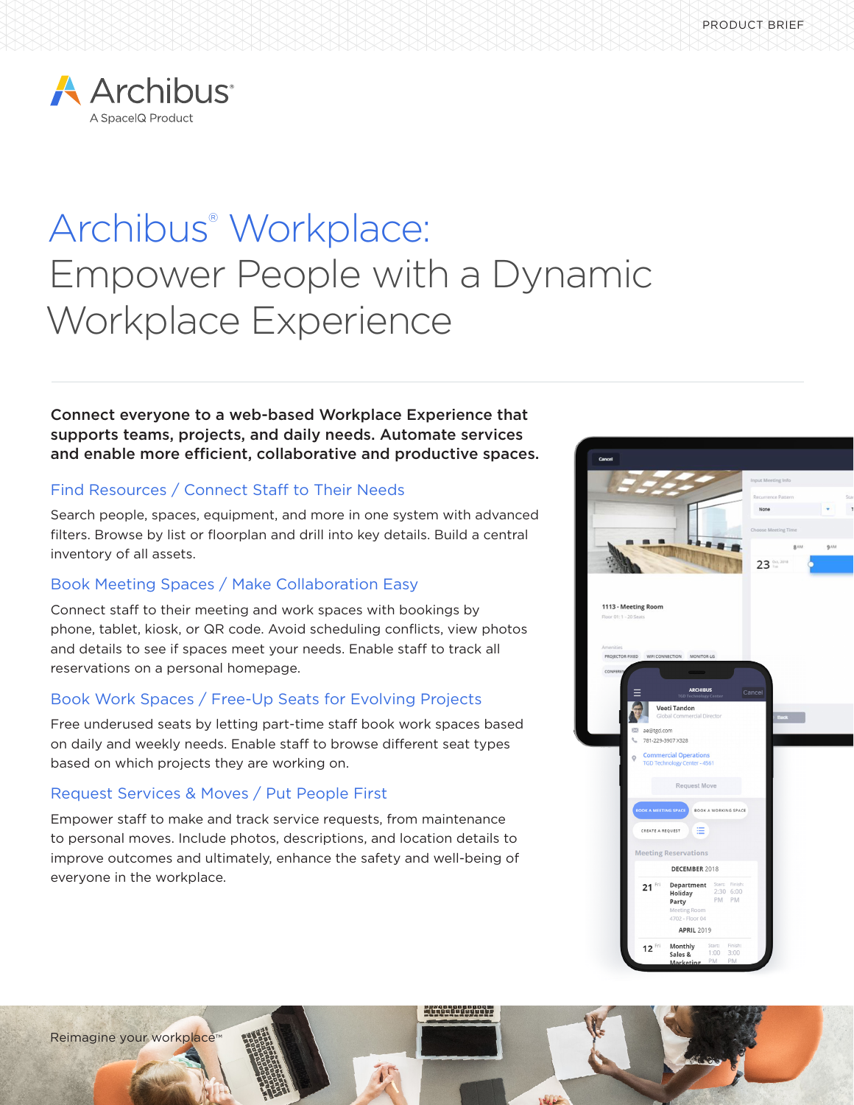

# Archibus® Workplace: Empower People with a Dynamic Workplace Experience

Connect everyone to a web-based Workplace Experience that supports teams, projects, and daily needs. Automate services and enable more efficient, collaborative and productive spaces.

### Find Resources / Connect Staff to Their Needs

Search people, spaces, equipment, and more in one system with advanced filters. Browse by list or floorplan and drill into key details. Build a central inventory of all assets.

### Book Meeting Spaces / Make Collaboration Easy

Connect staff to their meeting and work spaces with bookings by phone, tablet, kiosk, or QR code. Avoid scheduling conflicts, view photos and details to see if spaces meet your needs. Enable staff to track all reservations on a personal homepage.

# Book Work Spaces / Free-Up Seats for Evolving Projects

Free underused seats by letting part-time staff book work spaces based on daily and weekly needs. Enable staff to browse different seat types based on which projects they are working on.

### Request Services & Moves / Put People First

Reimagine your workplace™

Empower staff to make and track service requests, from maintenance to personal moves. Include photos, descriptions, and location details to improve outcomes and ultimately, enhance the safety and well-being of everyone in the workplace.



- 1999 - 1999 - 199

 $\mathbf{G}$